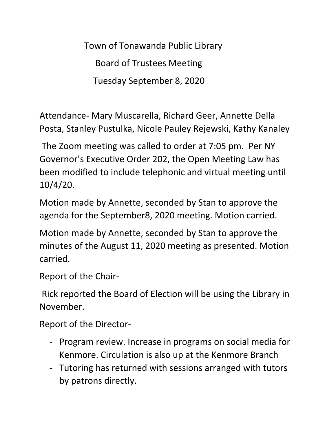Town of Tonawanda Public Library Board of Trustees Meeting Tuesday September 8, 2020

Attendance- Mary Muscarella, Richard Geer, Annette Della Posta, Stanley Pustulka, Nicole Pauley Rejewski, Kathy Kanaley

The Zoom meeting was called to order at 7:05 pm. Per NY Governor's Executive Order 202, the Open Meeting Law has been modified to include telephonic and virtual meeting until 10/4/20.

Motion made by Annette, seconded by Stan to approve the agenda for the September8, 2020 meeting. Motion carried.

Motion made by Annette, seconded by Stan to approve the minutes of the August 11, 2020 meeting as presented. Motion carried.

Report of the Chair-

Rick reported the Board of Election will be using the Library in November.

Report of the Director-

- Program review. Increase in programs on social media for Kenmore. Circulation is also up at the Kenmore Branch
- Tutoring has returned with sessions arranged with tutors by patrons directly.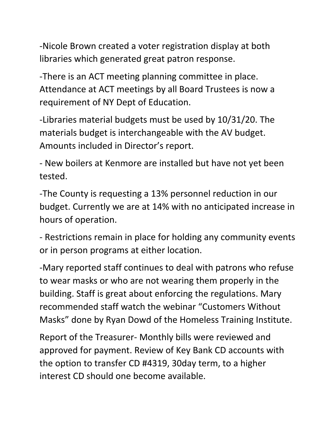-Nicole Brown created a voter registration display at both libraries which generated great patron response.

-There is an ACT meeting planning committee in place. Attendance at ACT meetings by all Board Trustees is now a requirement of NY Dept of Education.

-Libraries material budgets must be used by 10/31/20. The materials budget is interchangeable with the AV budget. Amounts included in Director's report.

- New boilers at Kenmore are installed but have not yet been tested.

-The County is requesting a 13% personnel reduction in our budget. Currently we are at 14% with no anticipated increase in hours of operation.

- Restrictions remain in place for holding any community events or in person programs at either location.

-Mary reported staff continues to deal with patrons who refuse to wear masks or who are not wearing them properly in the building. Staff is great about enforcing the regulations. Mary recommended staff watch the webinar "Customers Without Masks" done by Ryan Dowd of the Homeless Training Institute.

Report of the Treasurer- Monthly bills were reviewed and approved for payment. Review of Key Bank CD accounts with the option to transfer CD #4319, 30day term, to a higher interest CD should one become available.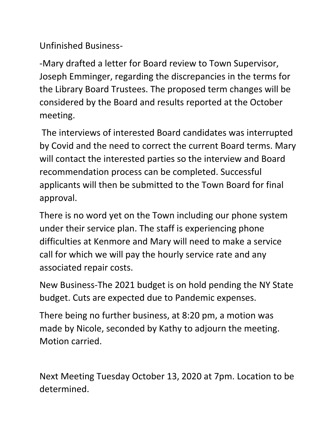Unfinished Business-

-Mary drafted a letter for Board review to Town Supervisor, Joseph Emminger, regarding the discrepancies in the terms for the Library Board Trustees. The proposed term changes will be considered by the Board and results reported at the October meeting.

The interviews of interested Board candidates was interrupted by Covid and the need to correct the current Board terms. Mary will contact the interested parties so the interview and Board recommendation process can be completed. Successful applicants will then be submitted to the Town Board for final approval.

There is no word yet on the Town including our phone system under their service plan. The staff is experiencing phone difficulties at Kenmore and Mary will need to make a service call for which we will pay the hourly service rate and any associated repair costs.

New Business-The 2021 budget is on hold pending the NY State budget. Cuts are expected due to Pandemic expenses.

There being no further business, at 8:20 pm, a motion was made by Nicole, seconded by Kathy to adjourn the meeting. Motion carried.

Next Meeting Tuesday October 13, 2020 at 7pm. Location to be determined.